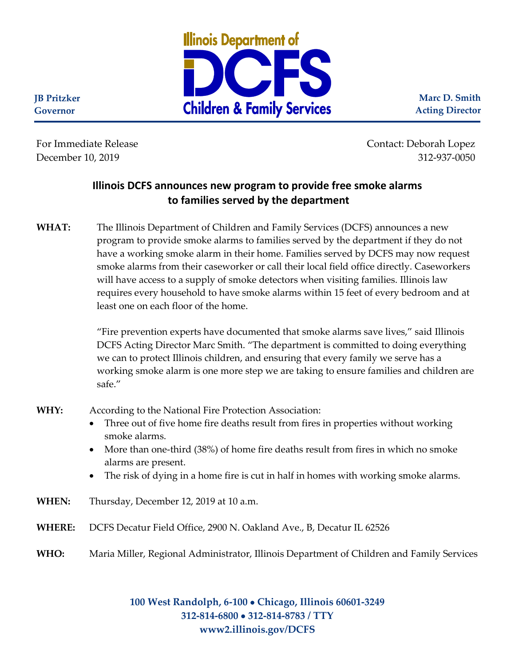

**Marc D. Smith Acting Director**

**JB Pritzker Governor**

For Immediate Release Contact: Deborah Lopez December 10, 2019 312-937-0050

## **Illinois DCFS announces new program to provide free smoke alarms to families served by the department**

**WHAT:** The Illinois Department of Children and Family Services (DCFS) announces a new program to provide smoke alarms to families served by the department if they do not have a working smoke alarm in their home. Families served by DCFS may now request smoke alarms from their caseworker or call their local field office directly. Caseworkers will have access to a supply of smoke detectors when visiting families. Illinois law requires every household to have smoke alarms within 15 feet of every bedroom and at least one on each floor of the home.

> "Fire prevention experts have documented that smoke alarms save lives," said Illinois DCFS Acting Director Marc Smith. "The department is committed to doing everything we can to protect Illinois children, and ensuring that every family we serve has a working smoke alarm is one more step we are taking to ensure families and children are safe."

- **WHY:** According to the National Fire Protection Association:
	- Three out of five home fire deaths result from fires in properties without working smoke alarms.
	- More than one-third (38%) of home fire deaths result from fires in which no smoke alarms are present.
	- The risk of dying in a home fire is cut in half in homes with working smoke alarms.
- **WHEN:** Thursday, December 12, 2019 at 10 a.m.
- **WHERE:** DCFS Decatur Field Office, 2900 N. Oakland Ave., B, Decatur IL 62526
- **WHO:** Maria Miller, Regional Administrator, Illinois Department of Children and Family Services

**100 West Randolph, 6-100** • **Chicago, Illinois 60601-3249 312-814-6800** • **312-814-8783 / TTY www2.illinois.gov/DCFS**